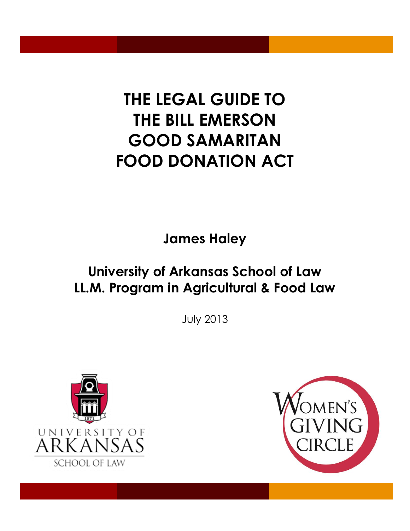# **THE LEGAL GUIDE TO THE BILL EMERSON GOOD SAMARITAN FOOD DONATION ACT**

**James Haley** 

## **University of Arkansas School of Law LL.M. Program in Agricultural & Food Law**

July 2013



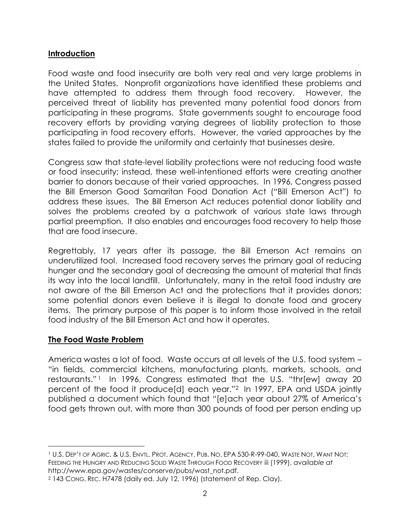#### **Introduction**

Food waste and food insecurity are both very real and very large problems in the United States. Nonprofit organizations have identified these problems and have attempted to address them through food recovery. However, the perceived threat of liability has prevented many potential food donors from participating in these programs. State governments sought to encourage food recovery efforts by providing varying degrees of liability protection to those participating in food recovery efforts. However, the varied approaches by the states failed to provide the uniformity and certainty that businesses desire.

Congress saw that state-level liability protections were not reducing food waste or food insecurity; instead, these well-intentioned efforts were creating another barrier to donors because of their varied approaches. In 1996, Congress passed the Bill Emerson Good Samaritan Food Donation Act ("Bill Emerson Act") to address these issues. The Bill Emerson Act reduces potential donor liability and solves the problems created by a patchwork of various state laws through partial preemption. It also enables and encourages food recovery to help those that are food insecure.

Regrettably, 17 years after its passage, the Bill Emerson Act remains an underutilized tool. Increased food recovery serves the primary goal of reducing hunger and the secondary goal of decreasing the amount of material that finds its way into the local landfill. Unfortunately, many in the retail food industry are not aware of the Bill Emerson Act and the protections that it provides donors; some potential donors even believe it is illegal to donate food and grocery items. The primary purpose of this paper is to inform those involved in the retail food industry of the Bill Emerson Act and how it operates.

#### **The Food Waste Problem**

America wastes a lot of food. Waste occurs at all levels of the U.S. food system – "in fields, commercial kitchens, manufacturing plants, markets, schools, and restaurants."<sup>1</sup> In 1996, Congress estimated that the U.S. "thr[ew] away 20 percent of the food it produce[d] each year."2 In 1997, EPA and USDA jointly published a document which found that "[e]ach year about 27% of America's food gets thrown out, with more than 300 pounds of food per person ending up

 $\overline{a}$ <sup>1</sup> U.S. DEP'T OF AGRIC. & U.S. ENVTL. PROT. AGENCY, PUB. NO. EPA 530-R-99-040, WASTE NOT, WANT NOT: FEEDING THE HUNGRY AND REDUCING SOLID WASTE THROUGH FOOD RECOVERY iii (1999), *available at* http://www.epa.gov/wastes/conserve/pubs/wast\_not.pdf.

<sup>2</sup> 143 CONG. REC. H7478 (daily ed. July 12, 1996) (statement of Rep. Clay).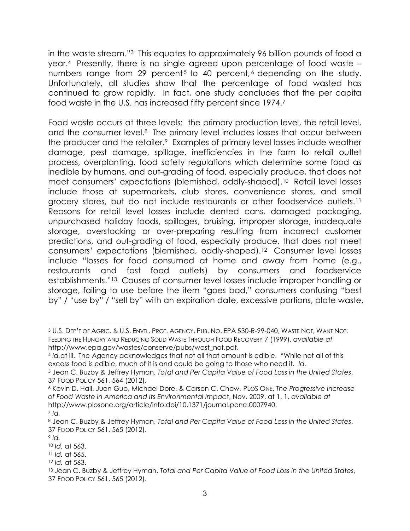in the waste stream." <sup>3</sup> This equates to approximately 96 billion pounds of food a year.4 Presently, there is no single agreed upon percentage of food waste – numbers range from 29 percent<sup>5</sup> to 40 percent,<sup> $6$ </sup> depending on the study. Unfortunately, all studies show that the percentage of food wasted has continued to grow rapidly. In fact, one study concludes that the per capita food waste in the U.S. has increased fifty percent since 1974.<sup>7</sup>

Food waste occurs at three levels: the primary production level, the retail level, and the consumer level.<sup>8</sup> The primary level includes losses that occur between the producer and the retailer.9 Examples of primary level losses include weather damage, pest damage, spillage, inefficiencies in the farm to retail outlet process, overplanting, food safety regulations which determine some food as inedible by humans, and out-grading of food, especially produce, that does not meet consumers' expectations (blemished, oddly-shaped).10 Retail level losses include those at supermarkets, club stores, convenience stores, and small grocery stores, but do not include restaurants or other foodservice outlets.<sup>11</sup> Reasons for retail level losses include dented cans, damaged packaging, unpurchased holiday foods, spillages, bruising, improper storage, inadequate storage, overstocking or over-preparing resulting from incorrect customer predictions, and out-grading of food, especially produce, that does not meet consumers' expectations (blemished, oddly-shaped).12 Consumer level losses include "losses for food consumed at home and away from home (e.g., restaurants and fast food outlets) by consumers and foodservice establishments."13 Causes of consumer level losses include improper handling or storage, failing to use before the item "goes bad," consumers confusing "best by" / "use by" / "sell by" with an expiration date, excessive portions, plate waste,

<sup>12</sup> *Id.* at 563.

l <sup>3</sup> U.S. DEP'T OF AGRIC. & U.S. ENVTL. PROT. AGENCY, PUB. NO. EPA 530-R-99-040, WASTE NOT, WANT NOT: FEEDING THE HUNGRY AND REDUCING SOLID WASTE THROUGH FOOD RECOVERY 7 (1999), *available at* http://www.epa.gov/wastes/conserve/pubs/wast\_not.pdf.

<sup>4</sup> *Id.*at iii. The Agency acknowledges that not all that amount is edible. "While not all of this excess food is edible, much of it is and could be going to those who need it. *Id.*

<sup>5</sup> Jean C. Buzby & Jeffrey Hyman, *Total and Per Capita Value of Food Loss in the United States*, 37 FOOD POLICY 561, 564 (2012).

<sup>6</sup> Kevin D. Hall, Juen Guo, Michael Dore, & Carson C. Chow, PLOS ONE, *The Progressive Increase of Food Waste in America and Its Environmental Impac*t, Nov. 2009, at 1, 1, *available at* http://www.plosone.org/article/info:doi/10.1371/journal.pone.0007940. <sup>7</sup> *Id.*

<sup>8</sup> Jean C. Buzby & Jeffrey Hyman, *Total and Per Capita Value of Food Loss in the United States*, 37 FOOD POLICY 561, 565 (2012).

<sup>9</sup> *Id.*

<sup>10</sup> *Id.* at 563.

<sup>11</sup> *Id.* at 565.

<sup>13</sup> Jean C. Buzby & Jeffrey Hyman, *Total and Per Capita Value of Food Loss in the United States*, 37 FOOD POLICY 561, 565 (2012).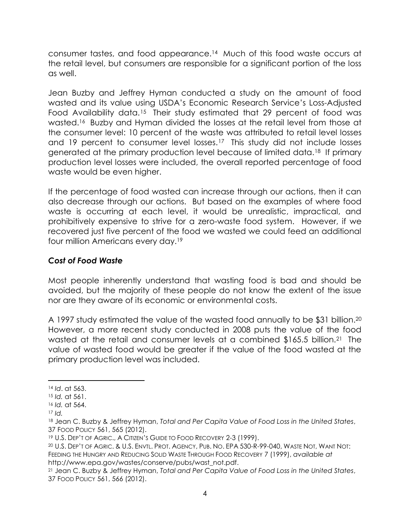consumer tastes, and food appearance.<sup>14</sup> Much of this food waste occurs at the retail level, but consumers are responsible for a significant portion of the loss as well.

Jean Buzby and Jeffrey Hyman conducted a study on the amount of food wasted and its value using USDA's Economic Research Service's Loss-Adjusted Food Availability data.<sup>15</sup> Their study estimated that 29 percent of food was wasted. <sup>16</sup> Buzby and Hyman divided the losses at the retail level from those at the consumer level: 10 percent of the waste was attributed to retail level losses and 19 percent to consumer level losses.<sup>17</sup> This study did not include losses generated at the primary production level because of limited data.18 If primary production level losses were included, the overall reported percentage of food waste would be even higher.

If the percentage of food wasted can increase through our actions, then it can also decrease through our actions. But based on the examples of where food waste is occurring at each level, it would be unrealistic, impractical, and prohibitively expensive to strive for a zero-waste food system. However, if we recovered just five percent of the food we wasted we could feed an additional four million Americans every day.<sup>19</sup>

#### *Cost of Food Waste*

Most people inherently understand that wasting food is bad and should be avoided, but the majority of these people do not know the extent of the issue nor are they aware of its economic or environmental costs.

A 1997 study estimated the value of the wasted food annually to be \$31 billion.<sup>20</sup> However, a more recent study conducted in 2008 puts the value of the food wasted at the retail and consumer levels at a combined \$165.5 billion.21 The value of wasted food would be greater if the value of the food wasted at the primary production level was included.

<sup>14</sup> *Id*. at 563.

<sup>15</sup> *Id.* at 561.

<sup>16</sup> *Id.* at 564.

<sup>17</sup> *Id.*

<sup>18</sup> Jean C. Buzby & Jeffrey Hyman, *Total and Per Capita Value of Food Loss in the United States*, 37 FOOD POLICY 561, 565 (2012).

<sup>19</sup> U.S. DEP'T OF AGRIC., A CITIZEN'S GUIDE TO FOOD RECOVERY 2-3 (1999).

<sup>20</sup> U.S. DEP'T OF AGRIC. & U.S. ENVTL. PROT. AGENCY, PUB. NO. EPA 530-R-99-040, WASTE NOT, WANT NOT: FEEDING THE HUNGRY AND REDUCING SOLID WASTE THROUGH FOOD RECOVERY 7 (1999), *available at* http://www.epa.gov/wastes/conserve/pubs/wast\_not.pdf.

<sup>21</sup> Jean C. Buzby & Jeffrey Hyman, *Total and Per Capita Value of Food Loss in the United States*, 37 FOOD POLICY 561, 566 (2012).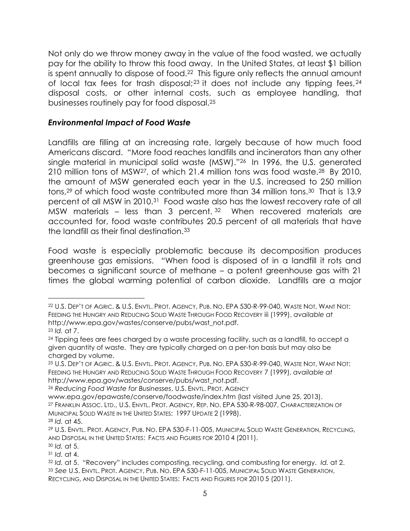Not only do we throw money away in the value of the food wasted, we actually pay for the ability to throw this food away. In the United States, at least \$1 billion is spent annually to dispose of food.<sup>22</sup> This figure only reflects the annual amount of local tax fees for trash disposal;<sup>23</sup> it does not include any tipping fees,<sup>24</sup> disposal costs, or other internal costs, such as employee handling, that businesses routinely pay for food disposal.<sup>25</sup>

#### *Environmental Impact of Food Waste*

Landfills are filling at an increasing rate, largely because of how much food Americans discard. "More food reaches landfills and incinerators than any other single material in municipal solid waste (MSW)."26 In 1996, the U.S. generated 210 million tons of MSW27, of which 21.4 million tons was food waste.28 By 2010, the amount of MSW generated each year in the U.S. increased to 250 million tons, <sup>29</sup> of which food waste contributed more than 34 million tons.30 That is 13.9 percent of all MSW in 2010.31 Food waste also has the lowest recovery rate of all MSW materials – less than 3 percent. <sup>32</sup> When recovered materials are accounted for, food waste contributes 20.5 percent of all materials that have the landfill as their final destination.<sup>33</sup>

Food waste is especially problematic because its decomposition produces greenhouse gas emissions. "When food is disposed of in a landfill it rots and becomes a significant source of methane – a potent greenhouse gas with 21 times the global warming potential of carbon dioxide. Landfills are a major

<sup>22</sup> U.S. DEP'T OF AGRIC. & U.S. ENVTL. PROT. AGENCY, PUB. NO. EPA 530-R-99-040, WASTE NOT, WANT NOT: FEEDING THE HUNGRY AND REDUCING SOLID WASTE THROUGH FOOD RECOVERY iii (1999), *available at* http://www.epa.gov/wastes/conserve/pubs/wast\_not.pdf.

<sup>23</sup> *Id.* at 7.

<sup>&</sup>lt;sup>24</sup> Tipping fees are fees charged by a waste processing facility, such as a landfill, to accept a given quantity of waste. They are typically charged on a per-ton basis but may also be charged by volume.

<sup>25</sup> U.S. DEP'T OF AGRIC. & U.S. ENVTL. PROT. AGENCY, PUB. NO. EPA 530-R-99-040, WASTE NOT, WANT NOT: FEEDING THE HUNGRY AND REDUCING SOLID WASTE THROUGH FOOD RECOVERY 7 (1999), *available at* http://www.epa.gov/wastes/conserve/pubs/wast\_not.pdf.

<sup>26</sup> *Reducing Food Waste for Businesses*, U.S. ENVTL. PROT. AGENCY

www.epa.gov/epawaste/conserve/foodwaste/index.htm (last visited June 25, 2013). <sup>27</sup> FRANKLIN ASSOC. LTD., U.S. ENVTL. PROT. AGENCY, REP. NO. EPA 530-R-98-007, CHARACTERIZATION OF MUNICIPAL SOLID WASTE IN THE UNITED STATES: 1997 UPDATE 2 (1998). <sup>28</sup> *Id.* at 45.

<sup>29</sup> U.S. ENVTL. PROT. AGENCY, PUB. NO. EPA 530-F-11-005, MUNICIPAL SOLID WASTE GENERATION, RECYCLING, AND DISPOSAL IN THE UNITED STATES: FACTS AND FIGURES FOR 2010 4 (2011).

<sup>30</sup> *Id.* at 5.

<sup>31</sup> *Id.* at 4.

<sup>32</sup> *Id.* at 5. "Recovery" includes composting, recycling, and combusting for energy. *Id.* at 2. <sup>33</sup> *See* U.S. ENVTL. PROT. AGENCY, PUB. NO. EPA 530-F-11-005, MUNICIPAL SOLID WASTE GENERATION, RECYCLING, AND DISPOSAL IN THE UNITED STATES: FACTS AND FIGURES FOR 2010 5 (2011).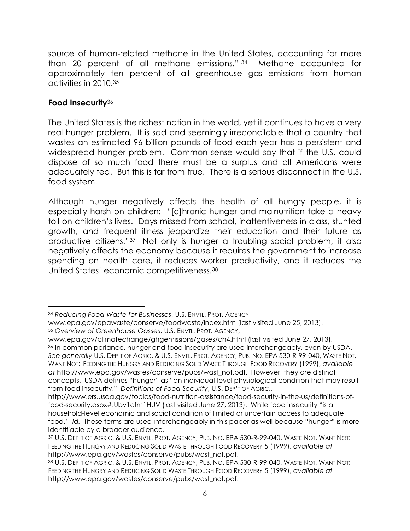source of human-related methane in the United States, accounting for more than 20 percent of all methane emissions." <sup>34</sup> Methane accounted for approximately ten percent of all greenhouse gas emissions from human activities in 2010.<sup>35</sup>

#### **Food Insecurity**<sup>36</sup>

 $\overline{a}$ 

The United States is the richest nation in the world, yet it continues to have a very real hunger problem. It is sad and seemingly irreconcilable that a country that wastes an estimated 96 billion pounds of food each year has a persistent and widespread hunger problem. Common sense would say that if the U.S. could dispose of so much food there must be a surplus and all Americans were adequately fed. But this is far from true. There is a serious disconnect in the U.S. food system.

Although hunger negatively affects the health of all hungry people, it is especially harsh on children: "[c]hronic hunger and malnutrition take a heavy toll on children's lives. Days missed from school, inattentiveness in class, stunted growth, and frequent illness jeopardize their education and their future as productive citizens."37 Not only is hunger a troubling social problem, it also negatively affects the economy because it requires the government to increase spending on health care, it reduces worker productivity, and it reduces the United States' economic competitiveness.<sup>38</sup>

www.epa.gov/climatechange/ghgemissions/gases/ch4.html (last visited June 27, 2013). <sup>36</sup> In common parlance, hunger and food insecurity are used interchangeably, even by USDA. *See generally* U.S. DEP'T OF AGRIC. & U.S. ENVTL. PROT. AGENCY, PUB. NO. EPA 530-R-99-040, WASTE NOT, WANT NOT: FEEDING THE HUNGRY AND REDUCING SOLID WASTE THROUGH FOOD RECOVERY (1999), *available at* http://www.epa.gov/wastes/conserve/pubs/wast\_not.pdf. However, they are distinct concepts. USDA defines "hunger" as "an individual-level physiological condition that may result from food insecurity." *Definitions of Food Security*, U.S. DEP'T OF AGRIC.,

<sup>34</sup> *Reducing Food Waste for Businesses*, U.S. ENVTL. PROT. AGENCY

www.epa.gov/epawaste/conserve/foodwaste/index.htm (last visited June 25, 2013). <sup>35</sup> *Overview of Greenhouse Gasses*, U.S. ENVTL. PROT. AGENCY,

http://www.ers.usda.gov/topics/food-nutrition-assistance/food-security-in-the-us/definitions-offood-security.aspx#.Ubv1cfm1HUV (last visited June 27, 2013). While food insecurity "is a household-level economic and social condition of limited or uncertain access to adequate food." *Id.* These terms are used interchangeably in this paper as well because "hunger" is more identifiable by a broader audience.

<sup>37</sup> U.S. DEP'T OF AGRIC. & U.S. ENVTL. PROT. AGENCY, PUB. NO. EPA 530-R-99-040, WASTE NOT, WANT NOT: FEEDING THE HUNGRY AND REDUCING SOLID WASTE THROUGH FOOD RECOVERY 5 (1999), *available at* http://www.epa.gov/wastes/conserve/pubs/wast\_not.pdf.

<sup>38</sup> U.S. DEP'T OF AGRIC. & U.S. ENVTL. PROT. AGENCY, PUB. NO. EPA 530-R-99-040, WASTE NOT, WANT NOT: FEEDING THE HUNGRY AND REDUCING SOLID WASTE THROUGH FOOD RECOVERY 5 (1999), *available at* http://www.epa.gov/wastes/conserve/pubs/wast\_not.pdf.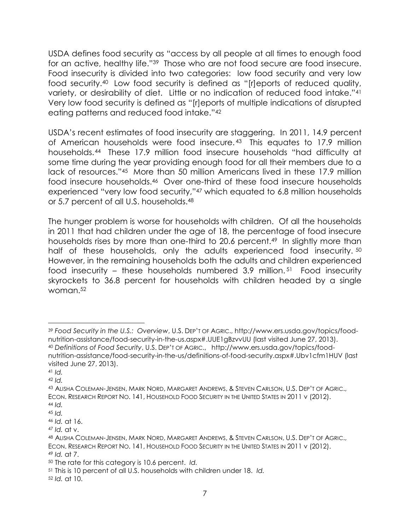USDA defines food security as "access by all people at all times to enough food for an active, healthy life."39 Those who are not food secure are food insecure. Food insecurity is divided into two categories: low food security and very low food security.<sup>40</sup> Low food security is defined as "[r]eports of reduced quality, variety, or desirability of diet. Little or no indication of reduced food intake."<sup>41</sup> Very low food security is defined as "[r]eports of multiple indications of disrupted eating patterns and reduced food intake."<sup>42</sup>

USDA's recent estimates of food insecurity are staggering. In 2011, 14.9 percent of American households were food insecure. <sup>43</sup> This equates to 17.9 million households.<sup>44</sup> These 17.9 million food insecure households "had difficulty at some time during the year providing enough food for all their members due to a lack of resources."45 More than 50 million Americans lived in these 17.9 million food insecure households.46 Over one-third of these food insecure households experienced "very low food security," <sup>47</sup> which equated to 6.8 million households or 5.7 percent of all U.S. households.<sup>48</sup>

The hunger problem is worse for households with children. Of all the households in 2011 that had children under the age of 18, the percentage of food insecure households rises by more than one-third to 20.6 percent.<sup>49</sup> In slightly more than half of these households, only the adults experienced food insecurity. 50 However, in the remaining households both the adults and children experienced food insecurity – these households numbered 3.9 million. <sup>51</sup> Food insecurity skyrockets to 36.8 percent for households with children headed by a single woman.<sup>52</sup>

<sup>39</sup> *Food Security in the U.S.: Overview*, U.S. DEP'T OF AGRIC., http://www.ers.usda.gov/topics/foodnutrition-assistance/food-security-in-the-us.aspx#.UUE1gBzvvUU (last visited June 27, 2013). <sup>40</sup> *Definitions of Food Security*, U.S. DEP'T OF AGRIC., http://www.ers.usda.gov/topics/foodnutrition-assistance/food-security-in-the-us/definitions-of-food-security.aspx#.Ubv1cfm1HUV (last

visited June 27, 2013).

<sup>41</sup> *Id.*

<sup>42</sup> *Id.*

<sup>43</sup> ALISHA COLEMAN-JENSEN, MARK NORD, MARGARET ANDREWS, & STEVEN CARLSON, U.S. DEP'T OF AGRIC., ECON. RESEARCH REPORT NO. 141, HOUSEHOLD FOOD SECURITY IN THE UNITED STATES IN 2011 v (2012). <sup>44</sup> *Id.*

<sup>45</sup> *Id.*

<sup>46</sup> *Id.* at 16.

<sup>47</sup> *Id.* at v.

<sup>48</sup> ALISHA COLEMAN-JENSEN, MARK NORD, MARGARET ANDREWS, & STEVEN CARLSON, U.S. DEP'T OF AGRIC., ECON. RESEARCH REPORT NO. 141, HOUSEHOLD FOOD SECURITY IN THE UNITED STATES IN 2011 v (2012). <sup>49</sup> *Id.* at 7.

<sup>50</sup> The rate for this category is 10.6 percent. *Id.*

<sup>51</sup> This is 10 percent of all U.S. households with children under 18. *Id.*

<sup>52</sup> *Id.* at 10.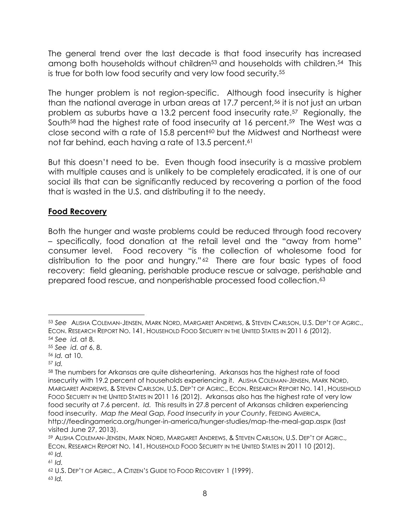The general trend over the last decade is that food insecurity has increased among both households without children<sup>53</sup> and households with children.<sup>54</sup> This is true for both low food security and very low food security.<sup>55</sup>

The hunger problem is not region-specific. Although food insecurity is higher than the national average in urban areas at 17.7 percent,<sup>56</sup> it is not just an urban problem as suburbs have a 13.2 percent food insecurity rate.57 Regionally, the South<sup>58</sup> had the highest rate of food insecurity at 16 percent.<sup>59</sup> The West was a close second with a rate of 15.8 percent<sup>60</sup> but the Midwest and Northeast were not far behind, each having a rate of 13.5 percent.<sup>61</sup>

But this doesn't need to be. Even though food insecurity is a massive problem with multiple causes and is unlikely to be completely eradicated, it is one of our social ills that can be significantly reduced by recovering a portion of the food that is wasted in the U.S. and distributing it to the needy.

#### **Food Recovery**

Both the hunger and waste problems could be reduced through food recovery – specifically, food donation at the retail level and the "away from home" consumer level. Food recovery "is the collection of wholesome food for distribution to the poor and hungry."<sup>62</sup> There are four basic types of food recovery: field gleaning, perishable produce rescue or salvage, perishable and prepared food rescue, and nonperishable processed food collection.<sup>63</sup>

<sup>53</sup> *See* ALISHA COLEMAN-JENSEN, MARK NORD, MARGARET ANDREWS, & STEVEN CARLSON, U.S. DEP'T OF AGRIC., ECON. RESEARCH REPORT NO. 141, HOUSEHOLD FOOD SECURITY IN THE UNITED STATES IN 2011 6 (2012). <sup>54</sup> *See id.* at 8.

<sup>55</sup> *See id. at* 6, 8.

<sup>56</sup> *Id.* at 10.

<sup>57</sup> *Id.*

<sup>58</sup> The numbers for Arkansas are quite disheartening. Arkansas has the highest rate of food insecurity with 19.2 percent of households experiencing it. ALISHA COLEMAN-JENSEN, MARK NORD, MARGARET ANDREWS, & STEVEN CARLSON, U.S. DEP'T OF AGRIC., ECON. RESEARCH REPORT NO. 141, HOUSEHOLD FOOD SECURITY IN THE UNITED STATES IN 2011 16 (2012). Arkansas also has the highest rate of very low food security at 7.6 percent. *Id.* This results in 27.8 percent of Arkansas children experiencing food insecurity. *Map the Meal Gap, Food Insecurity in your County*, FEEDING AMERICA, http://feedingamerica.org/hunger-in-america/hunger-studies/map-the-meal-gap.aspx (last visited June 27, 2013).

<sup>59</sup> ALISHA COLEMAN-JENSEN, MARK NORD, MARGARET ANDREWS, & STEVEN CARLSON, U.S. DEP'T OF AGRIC., ECON. RESEARCH REPORT NO. 141, HOUSEHOLD FOOD SECURITY IN THE UNITED STATES IN 2011 10 (2012). <sup>60</sup> *Id.*

<sup>61</sup> *Id.*

<sup>62</sup> U.S. DEP'T OF AGRIC., A CITIZEN'S GUIDE TO FOOD RECOVERY 1 (1999).

<sup>63</sup> *Id.*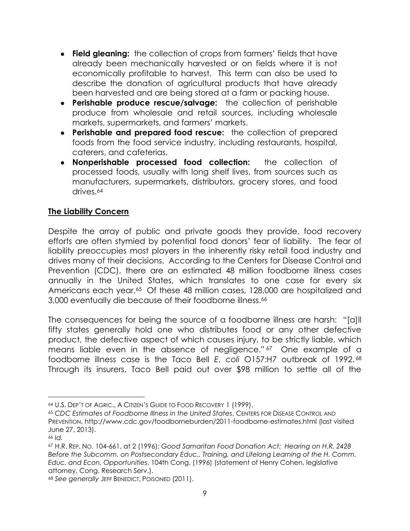- **Field gleaning:** the collection of crops from farmers' fields that have already been mechanically harvested or on fields where it is not economically profitable to harvest. This term can also be used to describe the donation of agricultural products that have already been harvested and are being stored at a farm or packing house.
- **Perishable produce rescue/salvage:** the collection of perishable produce from wholesale and retail sources, including wholesale markets, supermarkets, and farmers' markets.
- **Perishable and prepared food rescue:** the collection of prepared foods from the food service industry, including restaurants, hospital, caterers, and cafeterias.
- **Nonperishable processed food collection:** the collection of processed foods, usually with long shelf lives, from sources such as manufacturers, supermarkets, distributors, grocery stores, and food drives.<sup>64</sup>

#### **The Liability Concern**

Despite the array of public and private goods they provide, food recovery efforts are often stymied by potential food donors' fear of liability. The fear of liability preoccupies most players in the inherently risky retail food industry and drives many of their decisions. According to the Centers for Disease Control and Prevention (CDC), there are an estimated 48 million foodborne illness cases annually in the United States, which translates to one case for every six Americans each year.<sup>65</sup> Of these 48 million cases, 128,000 are hospitalized and 3,000 eventually die because of their foodborne illness.<sup>66</sup>

The consequences for being the source of a foodborne illness are harsh: "[a]ll fifty states generally hold one who distributes food or any other defective product, the defective aspect of which causes injury, to be strictly liable, which means liable even in the absence of negligence."<sup>67</sup> One example of a foodborne illness case is the Taco Bell *E. coli* O157:H7 outbreak of 1992. <sup>68</sup> Through its insurers, Taco Bell paid out over \$98 million to settle all of the

<sup>64</sup> U.S. DEP'T OF AGRIC., A CITIZEN'S GUIDE TO FOOD RECOVERY 1 (1999).

<sup>65</sup> *CDC Estimates of Foodborne Illness in the United States*, CENTERS FOR DISEASE CONTROL AND PREVENTION, http://www.cdc.gov/foodborneburden/2011-foodborne-estimates.html (last visited June 27, 2013).

<sup>66</sup> *Id.*

<sup>67</sup> H.R. REP. NO. 104-661, at 2 (1996); *Good Samaritan Food Donation Act: Hearing on H.R. 2428 Before the Subcomm. on Postsecondary Educ., Training, and Lifelong Learning of the H. Comm. Educ. and Econ. Opportunities*, 104th Cong. (1996) (statement of Henry Cohen, legislative attorney, Cong. Research Serv.).

<sup>68</sup> *See generally* JEFF BENEDICT, POISONED (2011).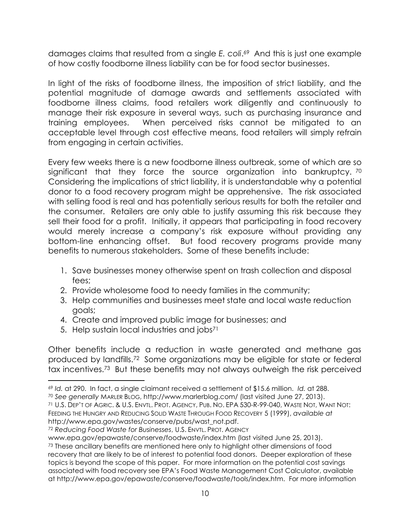damages claims that resulted from a single *E. coli*. <sup>69</sup> And this is just one example of how costly foodborne illness liability can be for food sector businesses.

In light of the risks of foodborne illness, the imposition of strict liability, and the potential magnitude of damage awards and settlements associated with foodborne illness claims, food retailers work diligently and continuously to manage their risk exposure in several ways, such as purchasing insurance and training employees. When perceived risks cannot be mitigated to an acceptable level through cost effective means, food retailers will simply refrain from engaging in certain activities.

Every few weeks there is a new foodborne illness outbreak, some of which are so significant that they force the source organization into bankruptcy. 70 Considering the implications of strict liability, it is understandable why a potential donor to a food recovery program might be apprehensive. The risk associated with selling food is real and has potentially serious results for both the retailer and the consumer. Retailers are only able to justify assuming this risk because they sell their food for a profit. Initially, it appears that participating in food recovery would merely increase a company's risk exposure without providing any bottom-line enhancing offset. But food recovery programs provide many benefits to numerous stakeholders. Some of these benefits include:

- 1. Save businesses money otherwise spent on trash collection and disposal fees;
- 2. Provide wholesome food to needy families in the community;
- 3. Help communities and businesses meet state and local waste reduction goals;
- 4. Create and improved public image for businesses; and
- 5. Help sustain local industries and jobs<sup>71</sup>

l

Other benefits include a reduction in waste generated and methane gas produced by landfills.72 Some organizations may be eligible for state or federal tax incentives.73 But these benefits may not always outweigh the risk perceived

<sup>69</sup> *Id.* at 290. In fact, a single claimant received a settlement of \$15.6 million. *Id.* at 288.

<sup>70</sup> *See generally* MARLER BLOG, http://www.marlerblog.com/ (last visited June 27, 2013).

<sup>71</sup> U.S. DEP'T OF AGRIC. & U.S. ENVTL. PROT. AGENCY, PUB. NO. EPA 530-R-99-040, WASTE NOT, WANT NOT: FEEDING THE HUNGRY AND REDUCING SOLID WASTE THROUGH FOOD RECOVERY 5 (1999), *available at* http://www.epa.gov/wastes/conserve/pubs/wast\_not.pdf.

<sup>72</sup> *Reducing Food Waste for Businesses*, U.S. ENVTL. PROT. AGENCY

www.epa.gov/epawaste/conserve/foodwaste/index.htm (last visited June 25, 2013). <sup>73</sup> These ancillary benefits are mentioned here only to highlight other dimensions of food recovery that are likely to be of interest to potential food donors. Deeper exploration of these topics is beyond the scope of this paper. For more information on the potential cost savings associated with food recovery see EPA's Food Waste Management Cost Calculator, available at http://www.epa.gov/epawaste/conserve/foodwaste/tools/index.htm. For more information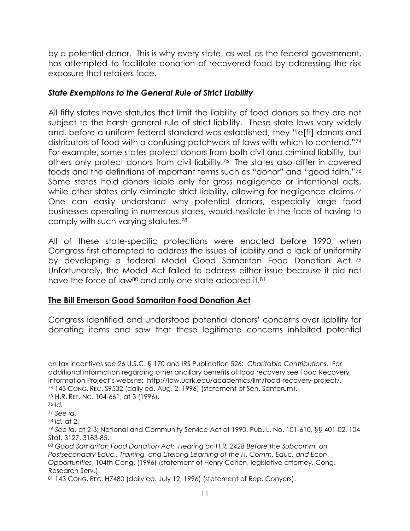by a potential donor. This is why every state, as well as the federal government, has attempted to facilitate donation of recovered food by addressing the risk exposure that retailers face.

#### *State Exemptions to the General Rule of Strict Liability*

All fifty states have statutes that limit the liability of food donors so they are not subject to the harsh general rule of strict liability. These state laws vary widely and, before a uniform federal standard was established, they "le[ft] donors and distributors of food with a confusing patchwork of laws with which to contend."<sup>74</sup> For example, some states protect donors from both civil and criminal liability, but others only protect donors from civil liability.75 The states also differ in covered foods and the definitions of important terms such as "donor" and "good faith."<sup>76</sup> Some states hold donors liable only for gross negligence or intentional acts, while other states only eliminate strict liability, allowing for negligence claims.<sup>77</sup> One can easily understand why potential donors, especially large food businesses operating in numerous states, would hesitate in the face of having to comply with such varying statutes.<sup>78</sup>

All of these state-specific protections were enacted before 1990, when Congress first attempted to address the issues of liability and a lack of uniformity by developing a federal Model Good Samaritan Food Donation Act. <sup>79</sup> Unfortunately, the Model Act failed to address either issue because it did not have the force of law<sup>80</sup> and only one state adopted it.<sup>81</sup>

#### **The Bill Emerson Good Samaritan Food Donation Act**

Congress identified and understood potential donors' concerns over liability for donating items and saw that these legitimate concerns inhibited potential

 $\overline{a}$ on tax incentives see 26 U.S.C. § 170 and IRS Publication 526: *Charitable Contributions*. For additional information regarding other ancillary benefits of food recovery see Food Recovery Information Project's website: http://law.uark.edu/academics/llm/food-recovery-project/. <sup>74</sup> 143 CONG. REC. S9532 (daily ed. Aug. 2, 1996) (statement of Sen. Santorum).

<sup>75</sup> H.R. REP. NO. 104-661, at 3 (1996).

<sup>76</sup> *Id.*

<sup>77</sup> *See id.*

<sup>78</sup> *Id.* at 2.

<sup>79</sup> *See id.* at 2-3; National and Community Service Act of 1990, Pub. L. No. 101-610, §§ 401-02, 104 Stat. 3127, 3183-85.

<sup>80</sup> *Good Samaritan Food Donation Act: Hearing on H.R. 2428 Before the Subcomm. on*  Postsecondary Educ., Training, and Lifelong Learning of the H. Comm. Educ. and Econ. *Opportunities*, 104th Cong. (1996) (statement of Henry Cohen, legislative attorney, Cong. Research Serv.).

<sup>81 143</sup> CONG. REC. H7480 (daily ed. July 12, 1996) (statement of Rep. Conyers).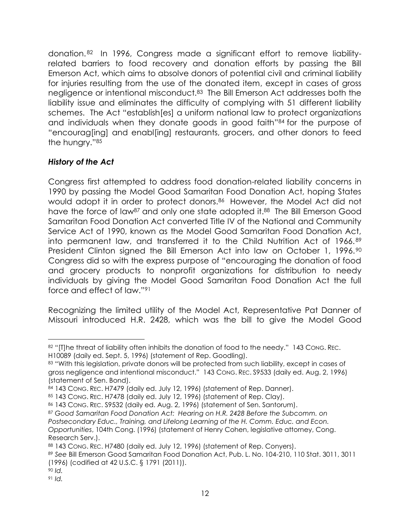donation. <sup>82</sup> In 1996, Congress made a significant effort to remove liabilityrelated barriers to food recovery and donation efforts by passing the Bill Emerson Act, which aims to absolve donors of potential civil and criminal liability for injuries resulting from the use of the donated item, except in cases of gross negligence or intentional misconduct.83 The Bill Emerson Act addresses both the liability issue and eliminates the difficulty of complying with 51 different liability schemes. The Act "establish[es] a uniform national law to protect organizations and individuals when they donate goods in good faith" <sup>84</sup> for the purpose of "encourag[ing] and enabl[ing] restaurants, grocers, and other donors to feed the hungry."<sup>85</sup>

#### *History of the Act*

Congress first attempted to address food donation-related liability concerns in 1990 by passing the Model Good Samaritan Food Donation Act, hoping States would adopt it in order to protect donors.<sup>86</sup> However, the Model Act did not have the force of law<sup>87</sup> and only one state adopted it.<sup>88</sup> The Bill Emerson Good Samaritan Food Donation Act converted Title IV of the National and Community Service Act of 1990, known as the Model Good Samaritan Food Donation Act, into permanent law, and transferred it to the Child Nutrition Act of 1966.<sup>89</sup> President Clinton signed the Bill Emerson Act into law on October 1, 1996.<sup>90</sup> Congress did so with the express purpose of "encouraging the donation of food and grocery products to nonprofit organizations for distribution to needy individuals by giving the Model Good Samaritan Food Donation Act the full force and effect of law."<sup>91</sup>

Recognizing the limited utility of the Model Act, Representative Pat Danner of Missouri introduced H.R. 2428, which was the bill to give the Model Good

 $\overline{a}$ 82 "[T]he threat of liability often inhibits the donation of food to the needy." 143 Cong. REC. H10089 (daily ed. Sept. 5, 1996) (statement of Rep. Goodling).

<sup>83 &</sup>quot;With this legislation, private donors will be protected from such liability, except in cases of gross negligence and intentional misconduct." 143 CONG. REC. S9533 (daily ed. Aug. 2, 1996) (statement of Sen. Bond).

<sup>84 143</sup> CONG. REC. H7479 (daily ed. July 12, 1996) (statement of Rep. Danner).

<sup>85 143</sup> CONG. REC. H7478 (daily ed. July 12, 1996) (statement of Rep. Clay).

<sup>86</sup> 143 CONG. REC. S9532 (daily ed. Aug. 2, 1996) (statement of Sen. Santorum).

<sup>87</sup> *Good Samaritan Food Donation Act: Hearing on H.R. 2428 Before the Subcomm. on*  Postsecondary Educ., Training, and Lifelong Learning of the H. Comm. Educ. and Econ. *Opportunities*, 104th Cong. (1996) (statement of Henry Cohen, legislative attorney, Cong. Research Serv.).

<sup>88 143</sup> CONG. REC. H7480 (daily ed. July 12, 1996) (statement of Rep. Conyers).

<sup>89</sup> *See* Bill Emerson Good Samaritan Food Donation Act, Pub. L. No. 104-210, 110 Stat. 3011, 3011 (1996) (codified at 42 U.S.C. § 1791 (2011)).

<sup>90</sup> *Id.*

<sup>91</sup> *Id.*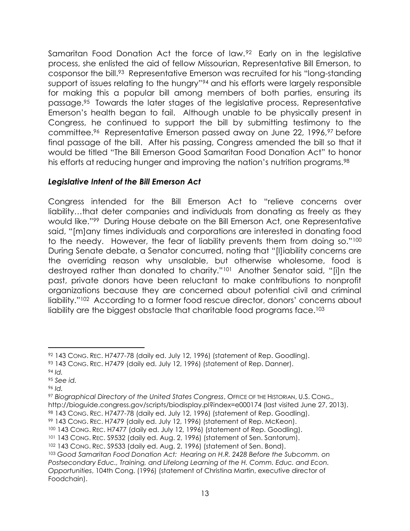Samaritan Food Donation Act the force of law.92 Early on in the legislative process, she enlisted the aid of fellow Missourian, Representative Bill Emerson, to cosponsor the bill.<sup>93</sup> Representative Emerson was recruited for his "long-standing support of issues relating to the hungry"<sup>94</sup> and his efforts were largely responsible for making this a popular bill among members of both parties, ensuring its passage.<sup>95</sup> Towards the later stages of the legislative process, Representative Emerson's health began to fail. Although unable to be physically present in Congress, he continued to support the bill by submitting testimony to the committee.96 Representative Emerson passed away on June 22, 1996,<sup>97</sup> before final passage of the bill. After his passing, Congress amended the bill so that it would be titled "The Bill Emerson Good Samaritan Food Donation Act" to honor his efforts at reducing hunger and improving the nation's nutrition programs.<sup>98</sup>

#### *Legislative Intent of the Bill Emerson Act*

Congress intended for the Bill Emerson Act to "relieve concerns over liability…that deter companies and individuals from donating as freely as they would like."99 During House debate on the Bill Emerson Act, one Representative said, "[m]any times individuals and corporations are interested in donating food to the needy. However, the fear of liability prevents them from doing so."<sup>100</sup> During Senate debate, a Senator concurred, noting that "[l]iability concerns are the overriding reason why unsalable, but otherwise wholesome, food is destroyed rather than donated to charity."<sup>101</sup> Another Senator said, "[i]n the past, private donors have been reluctant to make contributions to nonprofit organizations because they are concerned about potential civil and criminal liability."102 According to a former food rescue director, donors' concerns about liability are the biggest obstacle that charitable food programs face.<sup>103</sup>

<sup>92</sup> 143 CONG. REC. H7477-78 (daily ed. July 12, 1996) (statement of Rep. Goodling).

<sup>93 143</sup> CONG. REC. H7479 (daily ed. July 12, 1996) (statement of Rep. Danner).

<sup>94</sup> *Id.*

<sup>95</sup> *See id.*

<sup>96</sup> *Id.*

<sup>97</sup> *Biographical Directory of the United States Congress*, OFFICE OF THE HISTORIAN, U.S. CONG., http://bioguide.congress.gov/scripts/biodisplay.pl?index=e000174 (last visited June 27, 2013). <sup>98</sup> 143 CONG. REC. H7477-78 (daily ed. July 12, 1996) (statement of Rep. Goodling).

<sup>99</sup> 143 CONG. REC. H7479 (daily ed. July 12, 1996) (statement of Rep. McKeon).

<sup>100</sup> 143 CONG. REC. H7477 (daily ed. July 12, 1996) (statement of Rep. Goodling).

<sup>101</sup> 143 CONG. REC. S9532 (daily ed. Aug. 2, 1996) (statement of Sen. Santorum).

<sup>102 143</sup> CONG. REC. S9533 (daily ed. Aug. 2, 1996) (statement of Sen. Bond).

<sup>103</sup> *Good Samaritan Food Donation Act: Hearing on H.R. 2428 Before the Subcomm. on*  Postsecondary Educ., Training, and Lifelong Learning of the H. Comm. Educ. and Econ. *Opportunities*, 104th Cong. (1996) (statement of Christina Martin, executive director of Foodchain).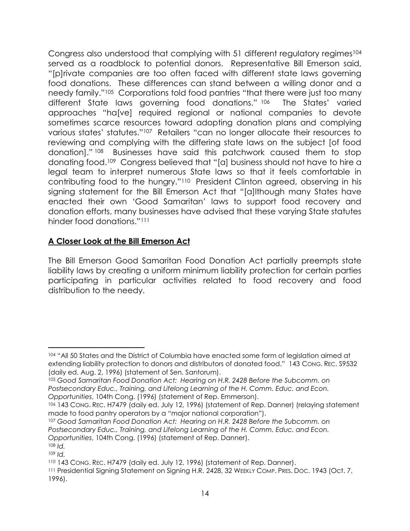Congress also understood that complying with 51 different regulatory regimes<sup>104</sup> served as a roadblock to potential donors. Representative Bill Emerson said, "[p]rivate companies are too often faced with different state laws governing food donations. These differences can stand between a willing donor and a needy family."<sup>105</sup> Corporations told food pantries "that there were just too many different State laws governing food donations." 106 The States' varied approaches "ha[ve] required regional or national companies to devote sometimes scarce resources toward adopting donation plans and complying various states' statutes."<sup>107</sup> Retailers "can no longer allocate their resources to reviewing and complying with the differing state laws on the subject [of food donation]." <sup>108</sup> Businesses have said this patchwork caused them to stop donating food.<sup>109</sup> Congress believed that "[a] business should not have to hire a legal team to interpret numerous State laws so that it feels comfortable in contributing food to the hungry."110 President Clinton agreed, observing in his signing statement for the Bill Emerson Act that "[a]lthough many States have enacted their own 'Good Samaritan' laws to support food recovery and donation efforts, many businesses have advised that these varying State statutes hinder food donations."<sup>111</sup>

#### **A Closer Look at the Bill Emerson Act**

The Bill Emerson Good Samaritan Food Donation Act partially preempts state liability laws by creating a uniform minimum liability protection for certain parties participating in particular activities related to food recovery and food distribution to the needy.

<sup>104</sup> "All 50 States and the District of Columbia have enacted some form of legislation aimed at extending liability protection to donors and distributors of donated food." 143 CONG. REC. S9532 (daily ed. Aug. 2, 1996) (statement of Sen. Santorum).

<sup>105</sup> *Good Samaritan Food Donation Act: Hearing on H.R. 2428 Before the Subcomm. on*  Postsecondary Educ., Training, and Lifelong Learning of the H. Comm. Educ. and Econ. *Opportunities*, 104th Cong. (1996) (statement of Rep. Emmerson).

<sup>106</sup> 143 CONG. REC. H7479 (daily ed. July 12, 1996) (statement of Rep. Danner) (relaying statement made to food pantry operators by a "major national corporation").

<sup>107</sup> *Good Samaritan Food Donation Act: Hearing on H.R. 2428 Before the Subcomm. on*  Postsecondary Educ., Training, and Lifelong Learning of the H. Comm. Educ. and Econ. *Opportunities*, 104th Cong. (1996) (statement of Rep. Danner).

<sup>108</sup> *Id.*

<sup>109</sup> *Id.*

<sup>110</sup> 143 CONG. REC. H7479 (daily ed. July 12, 1996) (statement of Rep. Danner).

<sup>111</sup> Presidential Signing Statement on Signing H.R. 2428, 32 WEEKLY COMP. PRES. Doc. 1943 (Oct. 7, 1996).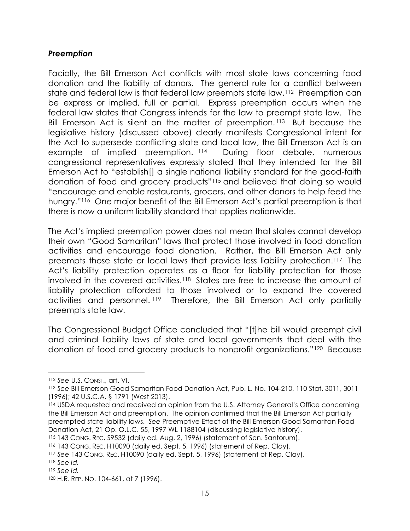#### *Preemption*

Facially, the Bill Emerson Act conflicts with most state laws concerning food donation and the liability of donors. The general rule for a conflict between state and federal law is that federal law preempts state law.112 Preemption can be express or implied, full or partial. Express preemption occurs when the federal law states that Congress intends for the law to preempt state law. The Bill Emerson Act is silent on the matter of preemption. <sup>113</sup> But because the legislative history (discussed above) clearly manifests Congressional intent for the Act to supersede conflicting state and local law, the Bill Emerson Act is an example of implied preemption. <sup>114</sup> During floor debate, numerous congressional representatives expressly stated that they intended for the Bill Emerson Act to "establish[] a single national liability standard for the good-faith donation of food and grocery products"<sup>115</sup> and believed that doing so would "encourage and enable restaurants, grocers, and other donors to help feed the hungry."116 One major benefit of the Bill Emerson Act's partial preemption is that there is now a uniform liability standard that applies nationwide.

The Act's implied preemption power does not mean that states cannot develop their own "Good Samaritan" laws that protect those involved in food donation activities and encourage food donation. Rather, the Bill Emerson Act only preempts those state or local laws that provide less liability protection.117 The Act's liability protection operates as a floor for liability protection for those involved in the covered activities.118 States are free to increase the amount of liability protection afforded to those involved or to expand the covered activities and personnel. <sup>119</sup> Therefore, the Bill Emerson Act only partially preempts state law.

The Congressional Budget Office concluded that "[t]he bill would preempt civil and criminal liability laws of state and local governments that deal with the donation of food and grocery products to nonprofit organizations."120 Because

<sup>112</sup> *See* U.S. CONST., art. VI.

<sup>113</sup> *See* Bill Emerson Good Samaritan Food Donation Act, Pub. L. No. 104-210, 110 Stat. 3011, 3011 (1996); 42 U.S.C.A. § 1791 (West 2013).

<sup>114</sup> USDA requested and received an opinion from the U.S. Attorney General's Office concerning the Bill Emerson Act and preemption. The opinion confirmed that the Bill Emerson Act partially preempted state liability laws. *See* Preemptive Effect of the Bill Emerson Good Samaritan Food Donation Act, 21 Op. O.L.C. 55, 1997 WL 1188104 (discussing legislative history).

<sup>115</sup> 143 CONG. REC. S9532 (daily ed. Aug. 2, 1996) (statement of Sen. Santorum).

<sup>116</sup> 143 CONG. REC. H10090 (daily ed. Sept. 5, 1996) (statement of Rep. Clay).

<sup>117</sup> *See* 143 CONG. REC. H10090 (daily ed. Sept. 5, 1996) (statement of Rep. Clay).

<sup>118</sup> *See id.*

<sup>119</sup> *See id.*

<sup>120</sup> H.R. REP. NO. 104-661, at 7 (1996).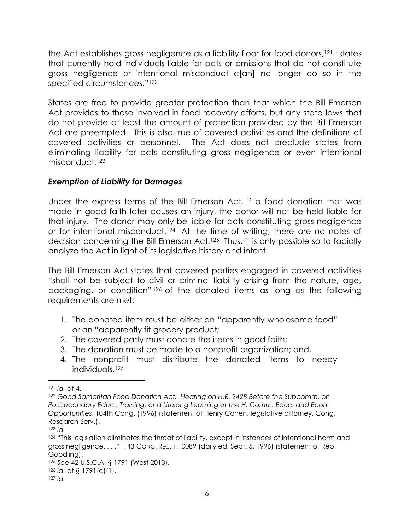the Act establishes gross negligence as a liability floor for food donors, <sup>121</sup> "states that currently hold individuals liable for acts or omissions that do not constitute gross negligence or intentional misconduct c[an] no longer do so in the specified circumstances."<sup>122</sup>

States are free to provide greater protection than that which the Bill Emerson Act provides to those involved in food recovery efforts, but any state laws that do not provide at least the amount of protection provided by the Bill Emerson Act are preempted. This is also true of covered activities and the definitions of covered activities or personnel. The Act does not preclude states from eliminating liability for acts constituting gross negligence or even intentional misconduct.<sup>123</sup>

#### *Exemption of Liability for Damages*

Under the express terms of the Bill Emerson Act, if a food donation that was made in good faith later causes an injury, the donor will not be held liable for that injury. The donor may only be liable for acts constituting gross negligence or for intentional misconduct.<sup>124</sup> At the time of writing, there are no notes of decision concerning the Bill Emerson Act.125 Thus, it is only possible so to facially analyze the Act in light of its legislative history and intent.

The Bill Emerson Act states that covered parties engaged in covered activities "shall not be subject to civil or criminal liability arising from the nature, age, packaging, or condition" <sup>126</sup> of the donated items as long as the following requirements are met:

- 1. The donated item must be either an "apparently wholesome food" or an "apparently fit grocery product;
- 2. The covered party must donate the items in good faith;
- 3. The donation must be made to a nonprofit organization; and,
- 4. The nonprofit must distribute the donated items to needy individuals.<sup>127</sup>

<sup>121</sup> *Id.* at 4.

<sup>122</sup> *Good Samaritan Food Donation Act: Hearing on H.R. 2428 Before the Subcomm. on*  Postsecondary Educ., Training, and Lifelong Learning of the H. Comm. Educ. and Econ. *Opportunities*, 104th Cong. (1996) (statement of Henry Cohen, legislative attorney, Cong. Research Serv.).

<sup>123</sup> *Id.*

<sup>124 &</sup>quot;This legislation eliminates the threat of liability, except in instances of intentional harm and gross negligence. . . ." 143 Cong. REC. H10089 (daily ed. Sept. 5, 1996) (statement of Rep. Goodling).

<sup>125</sup> *See* 42 U.S.C.A. § 1791 (West 2013). <sup>126</sup> *Id.* at § 1791(c)(1).

<sup>127</sup> *Id.*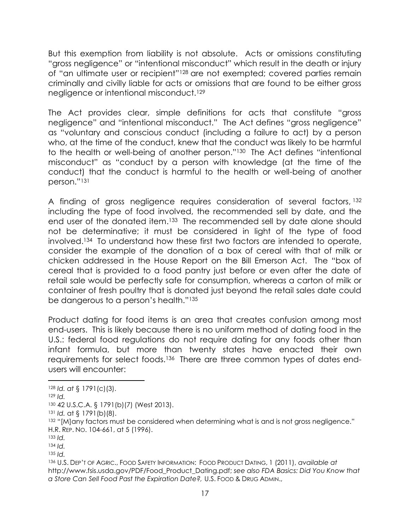But this exemption from liability is not absolute. Acts or omissions constituting "gross negligence" or "intentional misconduct" which result in the death or injury of "an ultimate user or recipient"<sup>128</sup> are not exempted; covered parties remain criminally and civilly liable for acts or omissions that are found to be either gross negligence or intentional misconduct.<sup>129</sup>

The Act provides clear, simple definitions for acts that constitute "gross negligence" and "intentional misconduct." The Act defines "gross negligence" as "voluntary and conscious conduct (including a failure to act) by a person who, at the time of the conduct, knew that the conduct was likely to be harmful to the health or well-being of another person."<sup>130</sup> The Act defines "intentional misconduct" as "conduct by a person with knowledge (at the time of the conduct) that the conduct is harmful to the health or well-being of another person."<sup>131</sup>

A finding of gross negligence requires consideration of several factors, 132 including the type of food involved, the recommended sell by date, and the end user of the donated item.<sup>133</sup> The recommended sell by date alone should not be determinative; it must be considered in light of the type of food involved. <sup>134</sup> To understand how these first two factors are intended to operate, consider the example of the donation of a box of cereal with that of milk or chicken addressed in the House Report on the Bill Emerson Act. The "box of cereal that is provided to a food pantry just before or even after the date of retail sale would be perfectly safe for consumption, whereas a carton of milk or container of fresh poultry that is donated just beyond the retail sales date could be dangerous to a person's health."<sup>135</sup>

Product dating for food items is an area that creates confusion among most end-users. This is likely because there is no uniform method of dating food in the U.S.: federal food regulations do not require dating for any foods other than infant formula, but more than twenty states have enacted their own requirements for select foods.<sup>136</sup> There are three common types of dates endusers will encounter:

<sup>128</sup> *Id. at* § 1791(c)(3).

<sup>129</sup> *Id.*

<sup>130</sup> 42 U.S.C.A. § 1791(b)(7) (West 2013).

<sup>131</sup> *Id.* at § 1791(b)(8).

<sup>132 &</sup>quot;[M]any factors must be considered when determining what is and is not gross negligence." H.R. REP. NO. 104-661, at 5 (1996).

<sup>133</sup> *Id.*

<sup>134</sup> *Id.*

<sup>135</sup> *Id.*

<sup>136</sup> U.S. DEP'T OF AGRIC., FOOD SAFETY INFORMATION: FOOD PRODUCT DATING, 1 (2011), *available at* http://www.fsis.usda.gov/PDF/Food\_Product\_Dating.pdf; *see also FDA Basics: Did You Know that a Store Can Sell Food Past the Expiration Date?,* U.S. FOOD & DRUG ADMIN.,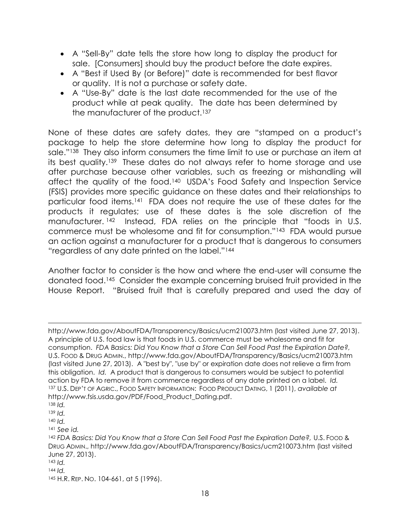- A "Sell-By" date tells the store how long to display the product for sale. [Consumers] should buy the product before the date expires.
- A "Best if Used By (or Before)" date is recommended for best flavor or quality. It is not a purchase or safety date.
- A "Use-By" date is the last date recommended for the use of the product while at peak quality. The date has been determined by the manufacturer of the product.<sup>137</sup>

None of these dates are safety dates, they are "stamped on a product's package to help the store determine how long to display the product for sale."138 They also inform consumers the time limit to use or purchase an item at its best quality.139 These dates do not always refer to home storage and use after purchase because other variables, such as freezing or mishandling will affect the quality of the food.<sup>140</sup> USDA's Food Safety and Inspection Service (FSIS) provides more specific guidance on these dates and their relationships to particular food items.141 FDA does not require the use of these dates for the products it regulates; use of these dates is the sole discretion of the manufacturer. <sup>142</sup> Instead, FDA relies on the principle that "foods in U.S. commerce must be wholesome and fit for consumption."143 FDA would pursue an action against a manufacturer for a product that is dangerous to consumers "regardless of any date printed on the label."<sup>144</sup>

Another factor to consider is the how and where the end-user will consume the donated food.145 Consider the example concerning bruised fruit provided in the House Report. "Bruised fruit that is carefully prepared and used the day of

l

<sup>141</sup> *See id.*

http://www.fda.gov/AboutFDA/Transparency/Basics/ucm210073.htm (last visited June 27, 2013). A principle of U.S. food law is that foods in U.S. commerce must be wholesome and fit for consumption. *FDA Basics: Did You Know that a Store Can Sell Food Past the Expiration Date?,* U.S. FOOD & DRUG ADMIN., http://www.fda.gov/AboutFDA/Transparency/Basics/ucm210073.htm (last visited June 27, 2013). A "best by", "use by" or expiration date does not relieve a firm from this obligation. *Id.* A product that is dangerous to consumers would be subject to potential action by FDA to remove it from commerce regardless of any date printed on a label. *Id.* <sup>137</sup> U.S. DEP'T OF AGRIC., FOOD SAFETY INFORMATION: FOOD PRODUCT DATING, 1 (2011), *available at* http://www.fsis.usda.gov/PDF/Food\_Product\_Dating.pdf.

<sup>138</sup> *Id.*

<sup>139</sup> *Id.*

<sup>140</sup> *Id.*

<sup>142</sup> *FDA Basics: Did You Know that a Store Can Sell Food Past the Expiration Date?,* U.S. FOOD & DRUG ADMIN., http://www.fda.gov/AboutFDA/Transparency/Basics/ucm210073.htm (last visited June 27, 2013).

<sup>143</sup> *Id.*

<sup>144</sup> *Id.*

<sup>145</sup> H.R. REP. NO. 104-661, at 5 (1996).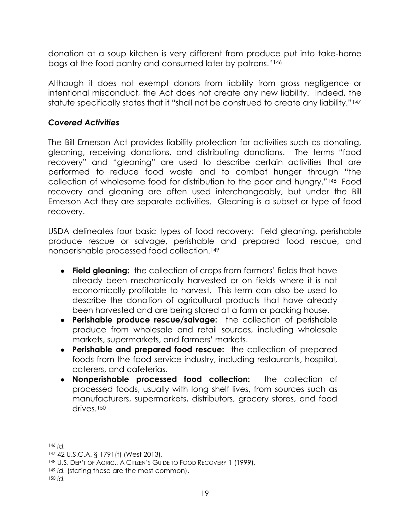donation at a soup kitchen is very different from produce put into take-home bags at the food pantry and consumed later by patrons."<sup>146</sup>

Although it does not exempt donors from liability from gross negligence or intentional misconduct, the Act does not create any new liability. Indeed, the statute specifically states that it "shall not be construed to create any liability."<sup>147</sup>

#### *Covered Activities*

The Bill Emerson Act provides liability protection for activities such as donating, gleaning, receiving donations, and distributing donations. The terms "food recovery" and "gleaning" are used to describe certain activities that are performed to reduce food waste and to combat hunger through "the collection of wholesome food for distribution to the poor and hungry."148 Food recovery and gleaning are often used interchangeably, but under the Bill Emerson Act they are separate activities. Gleaning is a subset or type of food recovery.

USDA delineates four basic types of food recovery: field gleaning, perishable produce rescue or salvage, perishable and prepared food rescue, and nonperishable processed food collection.<sup>149</sup>

- **Field gleaning:** the collection of crops from farmers' fields that have already been mechanically harvested or on fields where it is not economically profitable to harvest. This term can also be used to describe the donation of agricultural products that have already been harvested and are being stored at a farm or packing house.
- **Perishable produce rescue/salvage:** the collection of perishable produce from wholesale and retail sources, including wholesale markets, supermarkets, and farmers' markets.
- **Perishable and prepared food rescue:** the collection of prepared foods from the food service industry, including restaurants, hospital, caterers, and cafeterias.
- **Nonperishable processed food collection:** the collection of processed foods, usually with long shelf lives, from sources such as manufacturers, supermarkets, distributors, grocery stores, and food drives.<sup>150</sup>

<sup>146</sup> *Id.*

<sup>147</sup> 42 U.S.C.A. § 1791(f) (West 2013).

<sup>148</sup> U.S. DEP'T OF AGRIC., A CITIZEN'S GUIDE TO FOOD RECOVERY 1 (1999).

<sup>149</sup> *Id.* (stating these are the most common).

<sup>150</sup> *Id.*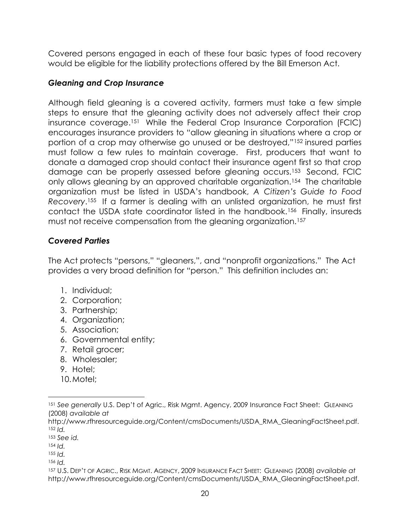Covered persons engaged in each of these four basic types of food recovery would be eligible for the liability protections offered by the Bill Emerson Act.

#### *Gleaning and Crop Insurance*

Although field gleaning is a covered activity, farmers must take a few simple steps to ensure that the gleaning activity does not adversely affect their crop insurance coverage. <sup>151</sup> While the Federal Crop Insurance Corporation (FCIC) encourages insurance providers to "allow gleaning in situations where a crop or portion of a crop may otherwise go unused or be destroyed,"<sup>152</sup> insured parties must follow a few rules to maintain coverage. First, producers that want to donate a damaged crop should contact their insurance agent first so that crop damage can be properly assessed before gleaning occurs.153 Second, FCIC only allows gleaning by an approved charitable organization.154 The charitable organization must be listed in USDA's handbook, *A Citizen's Guide to Food Recovery*. <sup>155</sup> If a farmer is dealing with an unlisted organization, he must first contact the USDA state coordinator listed in the handbook.156 Finally, insureds must not receive compensation from the gleaning organization.<sup>157</sup>

#### *Covered Parties*

The Act protects "persons," "gleaners,", and "nonprofit organizations." The Act provides a very broad definition for "person." This definition includes an:

- 1. Individual;
- 2. Corporation;
- 3. Partnership;
- 4. Organization;
- 5. Association;
- 6. Governmental entity;
- 7. Retail grocer;
- 8. Wholesaler;
- 9. Hotel;
- 10.Motel;

<sup>151</sup> See generally U.S. Dep't of Agric., Risk Mgmt. Agency, 2009 Insurance Fact Sheet: GLEANING (2008) *available at* 

http://www.rfhresourceguide.org/Content/cmsDocuments/USDA\_RMA\_GleaningFactSheet.pdf. <sup>152</sup> *Id.*

<sup>153</sup> *See id.*

<sup>154</sup> *Id.*

<sup>155</sup> *Id.*

<sup>156</sup> *Id.*

<sup>157</sup> U.S. DEP'T OF AGRIC., RISK MGMT. AGENCY, 2009 INSURANCE FACT SHEET: GLEANING (2008) *available at*  http://www.rfhresourceguide.org/Content/cmsDocuments/USDA\_RMA\_GleaningFactSheet.pdf.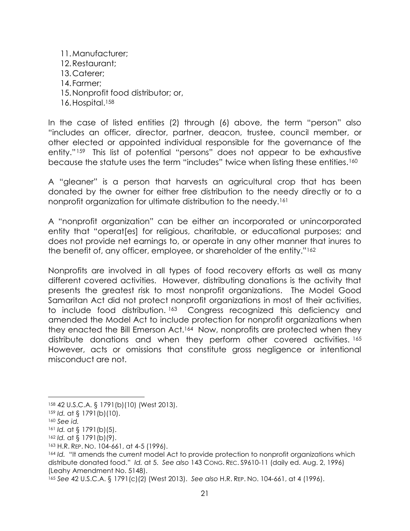11.Manufacturer; 12.Restaurant; 13.Caterer; 14.Farmer; 15.Nonprofit food distributor; or, 16. Hospital.<sup>158</sup>

In the case of listed entities (2) through (6) above, the term "person" also "includes an officer, director, partner, deacon, trustee, council member, or other elected or appointed individual responsible for the governance of the entity."159 This list of potential "persons" does not appear to be exhaustive because the statute uses the term "includes" twice when listing these entities.<sup>160</sup>

A "gleaner" is a person that harvests an agricultural crop that has been donated by the owner for either free distribution to the needy directly or to a nonprofit organization for ultimate distribution to the needy.<sup>161</sup>

A "nonprofit organization" can be either an incorporated or unincorporated entity that "operat[es] for religious, charitable, or educational purposes; and does not provide net earnings to, or operate in any other manner that inures to the benefit of, any officer, employee, or shareholder of the entity."<sup>162</sup>

Nonprofits are involved in all types of food recovery efforts as well as many different covered activities. However, distributing donations is the activity that presents the greatest risk to most nonprofit organizations. The Model Good Samaritan Act did not protect nonprofit organizations in most of their activities, to include food distribution. <sup>163</sup> Congress recognized this deficiency and amended the Model Act to include protection for nonprofit organizations when they enacted the Bill Emerson Act.<sup>164</sup> Now, nonprofits are protected when they distribute donations and when they perform other covered activities. <sup>165</sup> However, acts or omissions that constitute gross negligence or intentional misconduct are not.

<sup>158</sup> 42 U.S.C.A. § 1791(b)(10) (West 2013).

<sup>159</sup> *Id.* at § 1791(b)(10).

<sup>160</sup> *See id.*

<sup>161</sup> *Id.* at § 1791(b)(5).

<sup>162</sup> *Id.* at § 1791(b)(9).

<sup>163</sup> H.R. REP. NO. 104-661, at 4-5 (1996).

<sup>164</sup> *Id.* "It amends the current model Act to provide protection to nonprofit organizations which distribute donated food." *Id.* at 5. *See also* 143 CONG. REC. S9610-11 (daily ed. Aug. 2, 1996) (Leahy Amendment No. 5148).

<sup>165</sup> *See* 42 U.S.C.A. § 1791(c)(2) (West 2013). *See also* H.R. REP. NO. 104-661, at 4 (1996).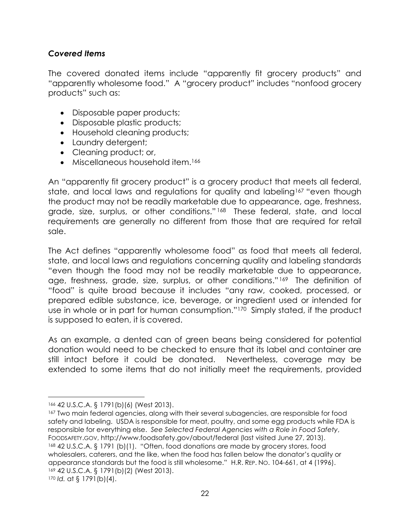#### *Covered Items*

The covered donated items include "apparently fit grocery products" and "apparently wholesome food." A "grocery product" includes "nonfood grocery products" such as:

- Disposable paper products;
- Disposable plastic products;
- Household cleaning products;
- Laundry detergent;
- Cleaning product; or,
- Miscellaneous household item.<sup>166</sup>

An "apparently fit grocery product" is a grocery product that meets all federal, state, and local laws and regulations for quality and labeling<sup>167</sup> "even though the product may not be readily marketable due to appearance, age, freshness, grade, size, surplus, or other conditions."<sup>168</sup> These federal, state, and local requirements are generally no different from those that are required for retail sale.

The Act defines "apparently wholesome food" as food that meets all federal, state, and local laws and regulations concerning quality and labeling standards "even though the food may not be readily marketable due to appearance, age, freshness, grade, size, surplus, or other conditions." <sup>169</sup> The definition of "food" is quite broad because it includes "any raw, cooked, processed, or prepared edible substance, ice, beverage, or ingredient used or intended for use in whole or in part for human consumption."170 Simply stated, if the product is supposed to eaten, it is covered.

As an example, a dented can of green beans being considered for potential donation would need to be checked to ensure that its label and container are still intact before it could be donated. Nevertheless, coverage may be extended to some items that do not initially meet the requirements, provided

<sup>166</sup> 42 U.S.C.A. § 1791(b)(6) (West 2013).

<sup>167</sup> Two main federal agencies, along with their several subagencies, are responsible for food safety and labeling. USDA is responsible for meat, poultry, and some egg products while FDA is responsible for everything else. *See Selected Federal Agencies with a Role in Food Safety*, FOODSAFETY.GOV, http://www.foodsafety.gov/about/federal (last visited June 27, 2013). <sup>168</sup> 42 U.S.C.A. § 1791 (b)(1). "Often, food donations are made by grocery stores, food wholesalers, caterers, and the like, when the food has fallen below the donator's quality or appearance standards but the food is still wholesome." H.R. REP. NO. 104-661, at 4 (1996). <sup>169</sup> 42 U.S.C.A. § 1791(b)(2) (West 2013). <sup>170</sup> *Id.* at § 1791(b)(4).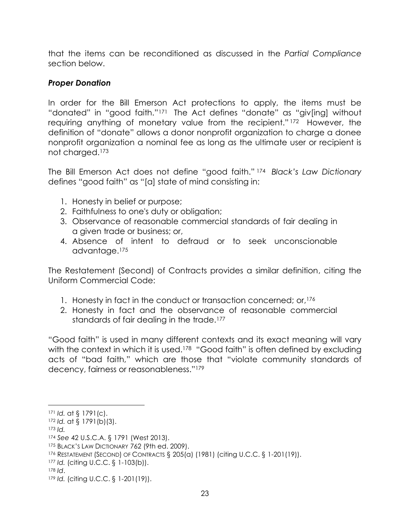that the items can be reconditioned as discussed in the *Partial Compliance* section below.

#### *Proper Donation*

In order for the Bill Emerson Act protections to apply, the items must be "donated" in "good faith."<sup>171</sup> The Act defines "donate" as "giv[ing] without requiring anything of monetary value from the recipient." <sup>172</sup> However, the definition of "donate" allows a donor nonprofit organization to charge a donee nonprofit organization a nominal fee as long as the ultimate user or recipient is not charged.<sup>173</sup>

The Bill Emerson Act does not define "good faith." <sup>174</sup> *Black's Law Dictionary* defines "good faith" as "[a] state of mind consisting in:

- 1. Honesty in belief or purpose;
- 2. Faithfulness to one's duty or obligation;
- 3. Observance of reasonable commercial standards of fair dealing in a given trade or business; or,
- 4. Absence of intent to defraud or to seek unconscionable advantage.<sup>175</sup>

The Restatement (Second) of Contracts provides a similar definition, citing the Uniform Commercial Code:

- 1. Honesty in fact in the conduct or transaction concerned; or,<sup>176</sup>
- 2. Honesty in fact and the observance of reasonable commercial standards of fair dealing in the trade.<sup>177</sup>

"Good faith" is used in many different contexts and its exact meaning will vary with the context in which it is used.<sup>178</sup> "Good faith" is often defined by excluding acts of "bad faith," which are those that "violate community standards of decency, fairness or reasonableness."<sup>179</sup>

<sup>173</sup> *Id.*

<sup>171</sup> *Id.* at § 1791(c).

<sup>172</sup> *Id.* at § 1791(b)(3).

<sup>174</sup> *See* 42 U.S.C.A. § 1791 (West 2013).

<sup>175</sup> BLACK'S LAW DICTIONARY 762 (9th ed. 2009).

<sup>176</sup> RESTATEMENT (SECOND) OF CONTRACTS § 205(a) (1981) (citing U.C.C. § 1-201(19)).

<sup>177</sup> *Id.* (citing U.C.C. § 1-103(b)).

<sup>178</sup> *Id*.

<sup>179</sup> *Id.* (citing U.C.C. § 1-201(19)).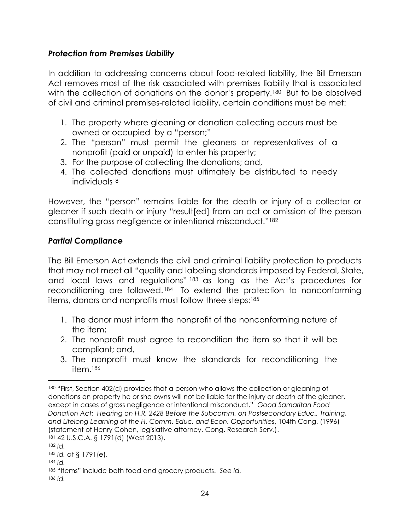#### *Protection from Premises Liability*

In addition to addressing concerns about food-related liability, the Bill Emerson Act removes most of the risk associated with premises liability that is associated with the collection of donations on the donor's property.<sup>180</sup> But to be absolved of civil and criminal premises-related liability, certain conditions must be met:

- 1. The property where gleaning or donation collecting occurs must be owned or occupied by a "person;"
- 2. The "person" must permit the gleaners or representatives of a nonprofit (paid or unpaid) to enter his property;
- 3. For the purpose of collecting the donations; and,
- 4. The collected donations must ultimately be distributed to needy individuals<sup>181</sup>

However, the "person" remains liable for the death or injury of a collector or gleaner if such death or injury "result[ed] from an act or omission of the person constituting gross negligence or intentional misconduct."<sup>182</sup>

#### *Partial Compliance*

The Bill Emerson Act extends the civil and criminal liability protection to products that may not meet all "quality and labeling standards imposed by Federal, State, and local laws and regulations" <sup>183</sup> as long as the Act's procedures for reconditioning are followed. <sup>184</sup> To extend the protection to nonconforming items, donors and nonprofits must follow three steps: 185

- 1. The donor must inform the nonprofit of the nonconforming nature of the item;
- 2. The nonprofit must agree to recondition the item so that it will be compliant; and,
- 3. The nonprofit must know the standards for reconditioning the item.<sup>186</sup>

<sup>184</sup> *Id.*

l 180 "First, Section 402(d) provides that a person who allows the collection or gleaning of donations on property he or she owns will not be liable for the injury or death of the gleaner, except in cases of gross negligence or intentional misconduct." *Good Samaritan Food Donation Act: Hearing on H.R. 2428 Before the Subcomm. on Postsecondary Educ., Training, and Lifelong Learning of the H. Comm. Educ. and Econ. Opportunities*, 104th Cong. (1996) (statement of Henry Cohen, legislative attorney, Cong. Research Serv.).

<sup>181</sup> 42 U.S.C.A. § 1791(d) (West 2013).

<sup>182</sup> *Id.*

<sup>183</sup> *Id.* at § 1791(e).

<sup>185</sup> "Items" include both food and grocery products. *See id.*

<sup>186</sup> *Id.*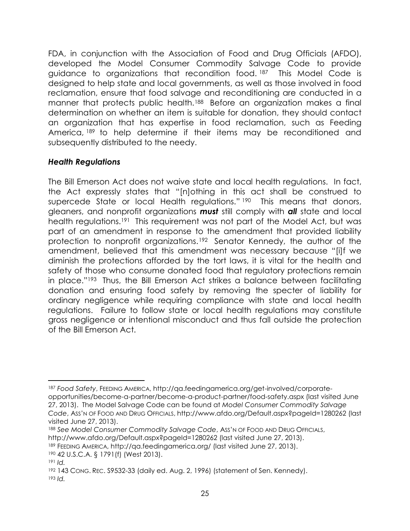FDA, in conjunction with the Association of Food and Drug Officials (AFDO), developed the Model Consumer Commodity Salvage Code to provide guidance to organizations that recondition food. <sup>187</sup> This Model Code is designed to help state and local governments, as well as those involved in food reclamation, ensure that food salvage and reconditioning are conducted in a manner that protects public health.<sup>188</sup> Before an organization makes a final determination on whether an item is suitable for donation, they should contact an organization that has expertise in food reclamation, such as Feeding America, 189 to help determine if their items may be reconditioned and subsequently distributed to the needy.

#### *Health Regulations*

The Bill Emerson Act does not waive state and local health regulations. In fact, the Act expressly states that "[n]othing in this act shall be construed to supercede State or local Health regulations." 190 This means that donors, gleaners, and nonprofit organizations *must* still comply with *all* state and local health regulations.<sup>191</sup> This requirement was not part of the Model Act, but was part of an amendment in response to the amendment that provided liability protection to nonprofit organizations.192 Senator Kennedy, the author of the amendment, believed that this amendment was necessary because "[i]f we diminish the protections afforded by the tort laws, it is vital for the health and safety of those who consume donated food that regulatory protections remain in place."193 Thus, the Bill Emerson Act strikes a balance between facilitating donation and ensuring food safety by removing the specter of liability for ordinary negligence while requiring compliance with state and local health regulations. Failure to follow state or local health regulations may constitute gross negligence or intentional misconduct and thus fall outside the protection of the Bill Emerson Act.

<sup>187</sup> *Food Safety*, FEEDING AMERICA, http://qa.feedingamerica.org/get-involved/corporateopportunities/become-a-partner/become-a-product-partner/food-safety.aspx (last visited June 27, 2013). The Model Salvage Code can be found at *Model Consumer Commodity Salvage Code*, ASS'N OF FOOD AND DRUG OFFICIALS, http://www.afdo.org/Default.aspx?pageId=1280262 (last visited June 27, 2013).

<sup>188</sup> *See Model Consumer Commodity Salvage Code*, ASS'N OF FOOD AND DRUG OFFICIALS,

http://www.afdo.org/Default.aspx?pageId=1280262 (last visited June 27, 2013).

<sup>189</sup> FEEDING AMERICA, http://qa.feedingamerica.org/ (last visited June 27, 2013).

<sup>190</sup> 42 U.S.C.A. § 1791(f) (West 2013).

<sup>191</sup> *Id.*

<sup>192</sup> 143 CONG. REC. S9532-33 (daily ed. Aug. 2, 1996) (statement of Sen. Kennedy). <sup>193</sup> *Id.*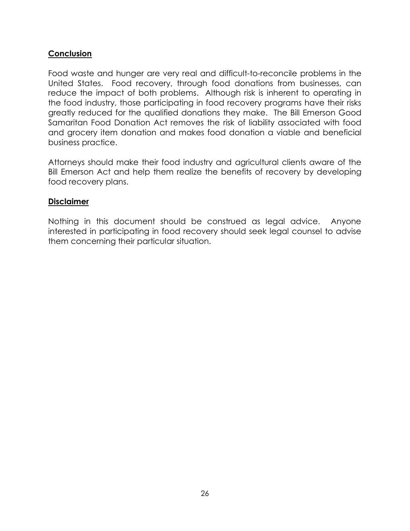#### **Conclusion**

Food waste and hunger are very real and difficult-to-reconcile problems in the United States. Food recovery, through food donations from businesses, can reduce the impact of both problems. Although risk is inherent to operating in the food industry, those participating in food recovery programs have their risks greatly reduced for the qualified donations they make. The Bill Emerson Good Samaritan Food Donation Act removes the risk of liability associated with food and grocery item donation and makes food donation a viable and beneficial business practice.

Attorneys should make their food industry and agricultural clients aware of the Bill Emerson Act and help them realize the benefits of recovery by developing food recovery plans.

#### **Disclaimer**

Nothing in this document should be construed as legal advice. Anyone interested in participating in food recovery should seek legal counsel to advise them concerning their particular situation.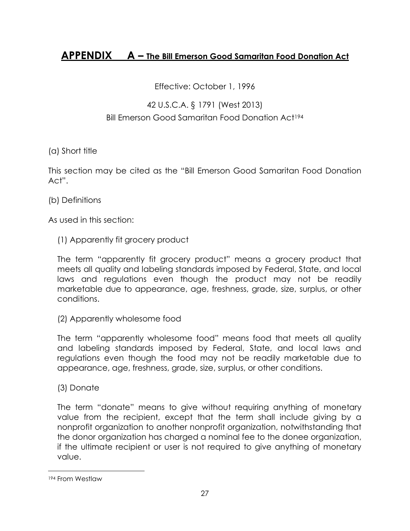### **APPENDIX A – The Bill Emerson Good Samaritan Food Donation Act**

Effective: October 1, 1996

#### 42 U.S.C.A. § 1791 (West 2013)

#### Bill Emerson Good Samaritan Food Donation Act<sup>194</sup>

#### (a) Short title

This section may be cited as the "Bill Emerson Good Samaritan Food Donation Act".

(b) Definitions

As used in this section:

#### (1) Apparently fit grocery product

The term "apparently fit grocery product" means a grocery product that meets all quality and labeling standards imposed by Federal, State, and local laws and regulations even though the product may not be readily marketable due to appearance, age, freshness, grade, size, surplus, or other conditions.

(2) Apparently wholesome food

The term "apparently wholesome food" means food that meets all quality and labeling standards imposed by Federal, State, and local laws and regulations even though the food may not be readily marketable due to appearance, age, freshness, grade, size, surplus, or other conditions.

(3) Donate

The term "donate" means to give without requiring anything of monetary value from the recipient, except that the term shall include giving by a nonprofit organization to another nonprofit organization, notwithstanding that the donor organization has charged a nominal fee to the donee organization, if the ultimate recipient or user is not required to give anything of monetary value.

<sup>194</sup> From Westlaw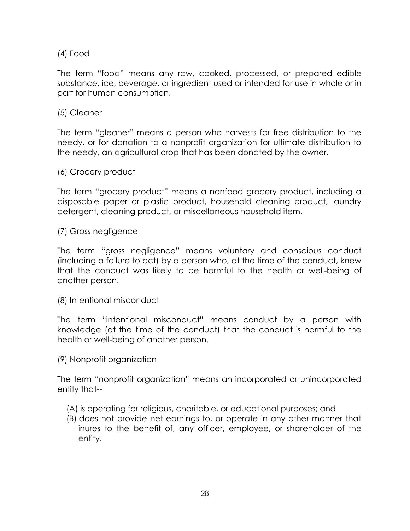#### (4) Food

The term "food" means any raw, cooked, processed, or prepared edible substance, ice, beverage, or ingredient used or intended for use in whole or in part for human consumption.

#### (5) Gleaner

The term "gleaner" means a person who harvests for free distribution to the needy, or for donation to a nonprofit organization for ultimate distribution to the needy, an agricultural crop that has been donated by the owner.

(6) Grocery product

The term "grocery product" means a nonfood grocery product, including a disposable paper or plastic product, household cleaning product, laundry detergent, cleaning product, or miscellaneous household item.

(7) Gross negligence

The term "gross negligence" means voluntary and conscious conduct (including a failure to act) by a person who, at the time of the conduct, knew that the conduct was likely to be harmful to the health or well-being of another person.

(8) Intentional misconduct

The term "intentional misconduct" means conduct by a person with knowledge (at the time of the conduct) that the conduct is harmful to the health or well-being of another person.

(9) Nonprofit organization

The term "nonprofit organization" means an incorporated or unincorporated entity that--

- (A) is operating for religious, charitable, or educational purposes; and
- (B) does not provide net earnings to, or operate in any other manner that inures to the benefit of, any officer, employee, or shareholder of the entity.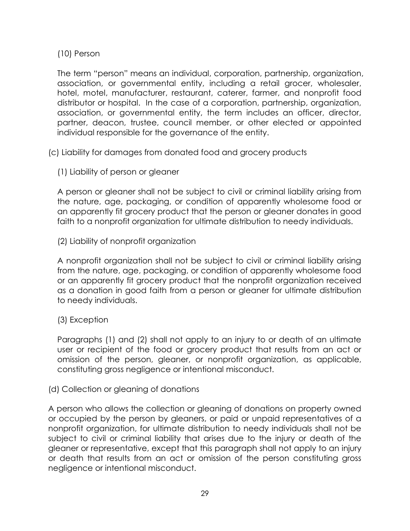(10) Person

The term "person" means an individual, corporation, partnership, organization, association, or governmental entity, including a retail grocer, wholesaler, hotel, motel, manufacturer, restaurant, caterer, farmer, and nonprofit food distributor or hospital. In the case of a corporation, partnership, organization, association, or governmental entity, the term includes an officer, director, partner, deacon, trustee, council member, or other elected or appointed individual responsible for the governance of the entity.

(c) Liability for damages from donated food and grocery products

(1) Liability of person or gleaner

A person or gleaner shall not be subject to civil or criminal liability arising from the nature, age, packaging, or condition of apparently wholesome food or an apparently fit grocery product that the person or gleaner donates in good faith to a nonprofit organization for ultimate distribution to needy individuals.

(2) Liability of nonprofit organization

A nonprofit organization shall not be subject to civil or criminal liability arising from the nature, age, packaging, or condition of apparently wholesome food or an apparently fit grocery product that the nonprofit organization received as a donation in good faith from a person or gleaner for ultimate distribution to needy individuals.

(3) Exception

Paragraphs (1) and (2) shall not apply to an injury to or death of an ultimate user or recipient of the food or grocery product that results from an act or omission of the person, gleaner, or nonprofit organization, as applicable, constituting gross negligence or intentional misconduct.

(d) Collection or gleaning of donations

A person who allows the collection or gleaning of donations on property owned or occupied by the person by gleaners, or paid or unpaid representatives of a nonprofit organization, for ultimate distribution to needy individuals shall not be subject to civil or criminal liability that arises due to the injury or death of the gleaner or representative, except that this paragraph shall not apply to an injury or death that results from an act or omission of the person constituting gross negligence or intentional misconduct.